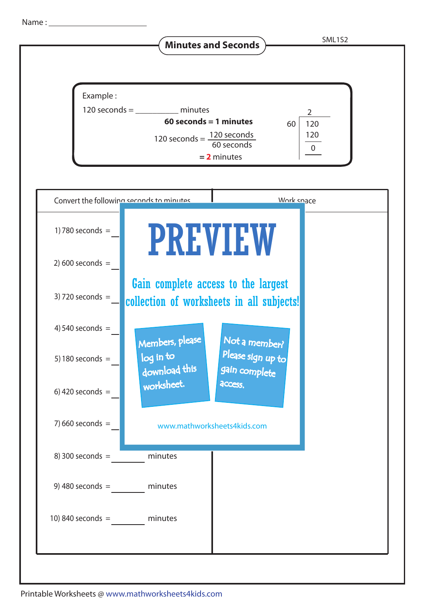